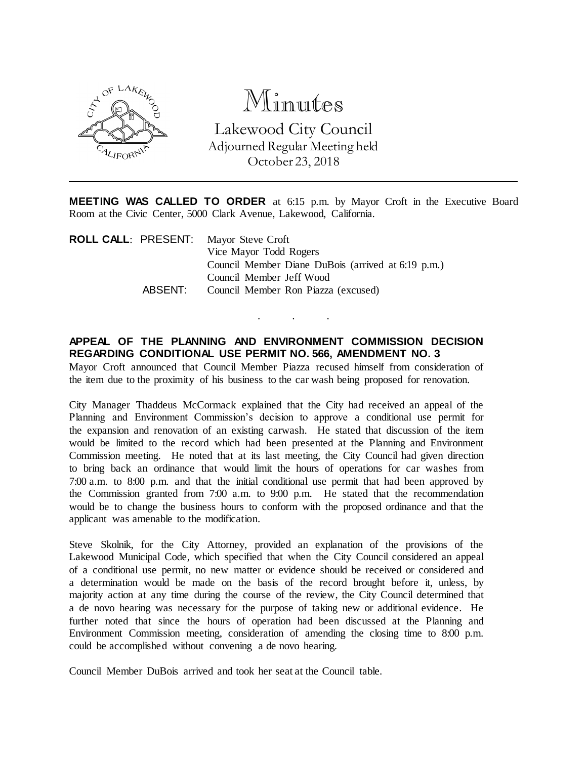

# Minutes

Lakewood City Council Adjourned Regular Meeting held October 23, 2018

**MEETING WAS CALLED TO ORDER** at 6:15 p.m. by Mayor Croft in the Executive Board Room at the Civic Center, 5000 Clark Avenue, Lakewood, California.

|         | <b>ROLL CALL: PRESENT:</b> Mayor Steve Croft       |
|---------|----------------------------------------------------|
|         | Vice Mayor Todd Rogers                             |
|         | Council Member Diane DuBois (arrived at 6:19 p.m.) |
|         | Council Member Jeff Wood                           |
| ABSENT: | Council Member Ron Piazza (excused)                |
|         |                                                    |

#### **APPEAL OF THE PLANNING AND ENVIRONMENT COMMISSION DECISION REGARDING CONDITIONAL USE PERMIT NO. 566, AMENDMENT NO. 3**

. . .

Mayor Croft announced that Council Member Piazza recused himself from consideration of the item due to the proximity of his business to the car wash being proposed for renovation.

City Manager Thaddeus McCormack explained that the City had received an appeal of the Planning and Environment Commission's decision to approve a conditional use permit for the expansion and renovation of an existing carwash. He stated that discussion of the item would be limited to the record which had been presented at the Planning and Environment Commission meeting. He noted that at its last meeting, the City Council had given direction to bring back an ordinance that would limit the hours of operations for car washes from 7:00 a.m. to 8:00 p.m. and that the initial conditional use permit that had been approved by the Commission granted from 7:00 a.m. to 9:00 p.m. He stated that the recommendation would be to change the business hours to conform with the proposed ordinance and that the applicant was amenable to the modification.

Steve Skolnik, for the City Attorney, provided an explanation of the provisions of the Lakewood Municipal Code, which specified that when the City Council considered an appeal of a conditional use permit, no new matter or evidence should be received or considered and a determination would be made on the basis of the record brought before it, unless, by majority action at any time during the course of the review, the City Council determined that a de novo hearing was necessary for the purpose of taking new or additional evidence. He further noted that since the hours of operation had been discussed at the Planning and Environment Commission meeting, consideration of amending the closing time to 8:00 p.m. could be accomplished without convening a de novo hearing.

Council Member DuBois arrived and took her seat at the Council table.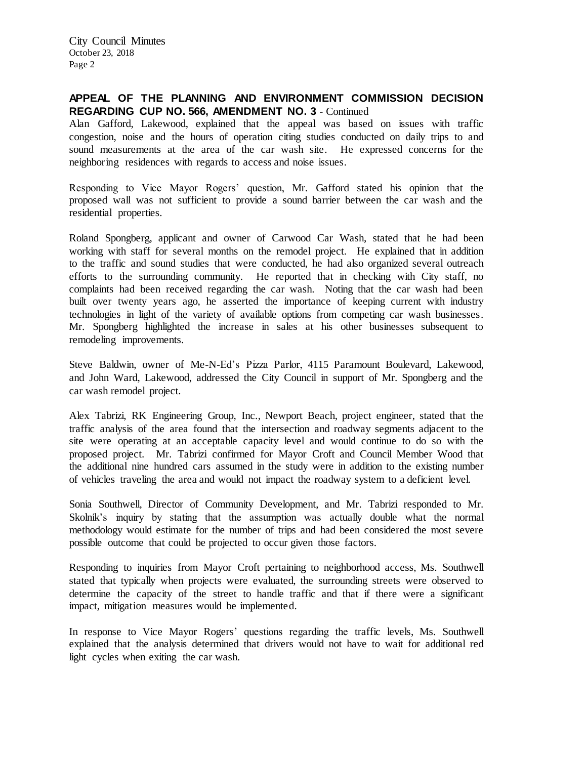City Council Minutes October 23, 2018 Page 2

## **APPEAL OF THE PLANNING AND ENVIRONMENT COMMISSION DECISION REGARDING CUP NO. 566, AMENDMENT NO. 3** - Continued

Alan Gafford, Lakewood, explained that the appeal was based on issues with traffic congestion, noise and the hours of operation citing studies conducted on daily trips to and sound measurements at the area of the car wash site. He expressed concerns for the neighboring residences with regards to access and noise issues.

Responding to Vice Mayor Rogers' question, Mr. Gafford stated his opinion that the proposed wall was not sufficient to provide a sound barrier between the car wash and the residential properties.

Roland Spongberg, applicant and owner of Carwood Car Wash, stated that he had been working with staff for several months on the remodel project. He explained that in addition to the traffic and sound studies that were conducted, he had also organized several outreach efforts to the surrounding community. He reported that in checking with City staff, no complaints had been received regarding the car wash. Noting that the car wash had been built over twenty years ago, he asserted the importance of keeping current with industry technologies in light of the variety of available options from competing car wash businesses. Mr. Spongberg highlighted the increase in sales at his other businesses subsequent to remodeling improvements.

Steve Baldwin, owner of Me-N-Ed's Pizza Parlor, 4115 Paramount Boulevard, Lakewood, and John Ward, Lakewood, addressed the City Council in support of Mr. Spongberg and the car wash remodel project.

Alex Tabrizi, RK Engineering Group, Inc., Newport Beach, project engineer, stated that the traffic analysis of the area found that the intersection and roadway segments adjacent to the site were operating at an acceptable capacity level and would continue to do so with the proposed project. Mr. Tabrizi confirmed for Mayor Croft and Council Member Wood that the additional nine hundred cars assumed in the study were in addition to the existing number of vehicles traveling the area and would not impact the roadway system to a deficient level.

Sonia Southwell, Director of Community Development, and Mr. Tabrizi responded to Mr. Skolnik's inquiry by stating that the assumption was actually double what the normal methodology would estimate for the number of trips and had been considered the most severe possible outcome that could be projected to occur given those factors.

Responding to inquiries from Mayor Croft pertaining to neighborhood access, Ms. Southwell stated that typically when projects were evaluated, the surrounding streets were observed to determine the capacity of the street to handle traffic and that if there were a significant impact, mitigation measures would be implemented.

In response to Vice Mayor Rogers' questions regarding the traffic levels, Ms. Southwell explained that the analysis determined that drivers would not have to wait for additional red light cycles when exiting the car wash.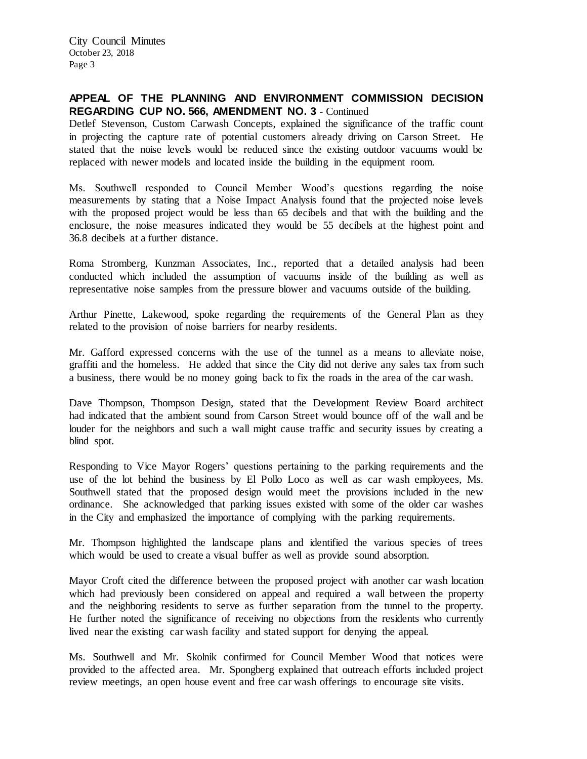City Council Minutes October 23, 2018 Page 3

## **APPEAL OF THE PLANNING AND ENVIRONMENT COMMISSION DECISION REGARDING CUP NO. 566, AMENDMENT NO. 3** - Continued

Detlef Stevenson, Custom Carwash Concepts, explained the significance of the traffic count in projecting the capture rate of potential customers already driving on Carson Street. He stated that the noise levels would be reduced since the existing outdoor vacuums would be replaced with newer models and located inside the building in the equipment room.

Ms. Southwell responded to Council Member Wood's questions regarding the noise measurements by stating that a Noise Impact Analysis found that the projected noise levels with the proposed project would be less than 65 decibels and that with the building and the enclosure, the noise measures indicated they would be 55 decibels at the highest point and 36.8 decibels at a further distance.

Roma Stromberg, Kunzman Associates, Inc., reported that a detailed analysis had been conducted which included the assumption of vacuums inside of the building as well as representative noise samples from the pressure blower and vacuums outside of the building.

Arthur Pinette, Lakewood, spoke regarding the requirements of the General Plan as they related to the provision of noise barriers for nearby residents.

Mr. Gafford expressed concerns with the use of the tunnel as a means to alleviate noise, graffiti and the homeless. He added that since the City did not derive any sales tax from such a business, there would be no money going back to fix the roads in the area of the car wash.

Dave Thompson, Thompson Design, stated that the Development Review Board architect had indicated that the ambient sound from Carson Street would bounce off of the wall and be louder for the neighbors and such a wall might cause traffic and security issues by creating a blind spot.

Responding to Vice Mayor Rogers' questions pertaining to the parking requirements and the use of the lot behind the business by El Pollo Loco as well as car wash employees, Ms. Southwell stated that the proposed design would meet the provisions included in the new ordinance. She acknowledged that parking issues existed with some of the older car washes in the City and emphasized the importance of complying with the parking requirements.

Mr. Thompson highlighted the landscape plans and identified the various species of trees which would be used to create a visual buffer as well as provide sound absorption.

Mayor Croft cited the difference between the proposed project with another car wash location which had previously been considered on appeal and required a wall between the property and the neighboring residents to serve as further separation from the tunnel to the property. He further noted the significance of receiving no objections from the residents who currently lived near the existing car wash facility and stated support for denying the appeal.

Ms. Southwell and Mr. Skolnik confirmed for Council Member Wood that notices were provided to the affected area. Mr. Spongberg explained that outreach efforts included project review meetings, an open house event and free car wash offerings to encourage site visits.